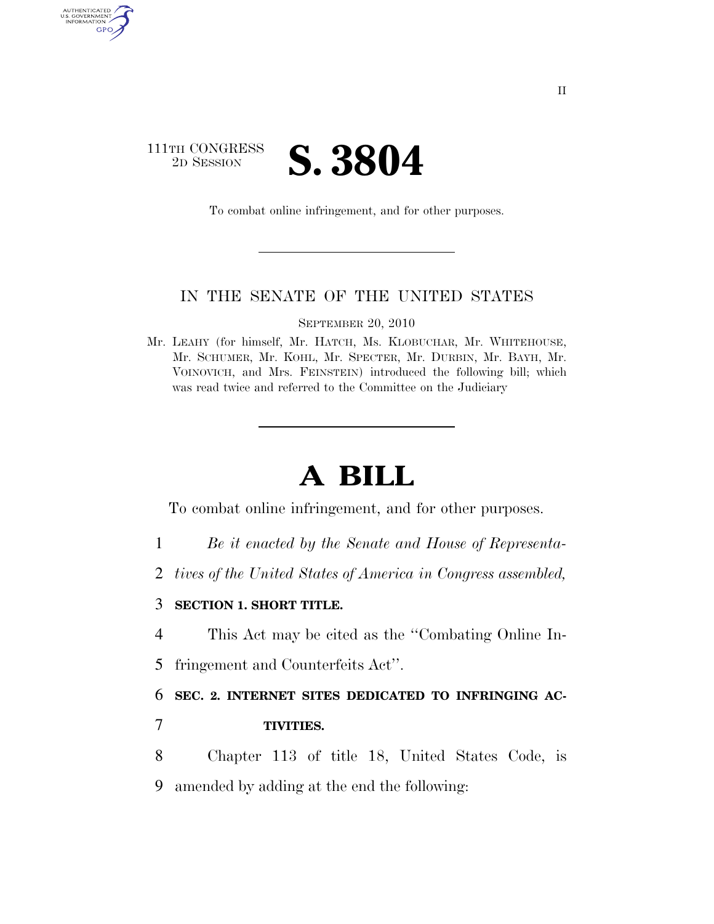## 111TH CONGRESS **2D SESSION S. 3804**

AUTHENTICATED<br>U.S. GOVERNMENT<br>INFORMATION GPO

To combat online infringement, and for other purposes.

## IN THE SENATE OF THE UNITED STATES

SEPTEMBER 20, 2010

Mr. LEAHY (for himself, Mr. HATCH, Ms. KLOBUCHAR, Mr. WHITEHOUSE, Mr. SCHUMER, Mr. KOHL, Mr. SPECTER, Mr. DURBIN, Mr. BAYH, Mr. VOINOVICH, and Mrs. FEINSTEIN) introduced the following bill; which was read twice and referred to the Committee on the Judiciary

## **A BILL**

To combat online infringement, and for other purposes.

- 1 *Be it enacted by the Senate and House of Representa-*
- 2 *tives of the United States of America in Congress assembled,*
- 3 **SECTION 1. SHORT TITLE.**
- 4 This Act may be cited as the ''Combating Online In-
- 5 fringement and Counterfeits Act''.

6 **SEC. 2. INTERNET SITES DEDICATED TO INFRINGING AC-**

- 7 **TIVITIES.**
- 8 Chapter 113 of title 18, United States Code, is 9 amended by adding at the end the following: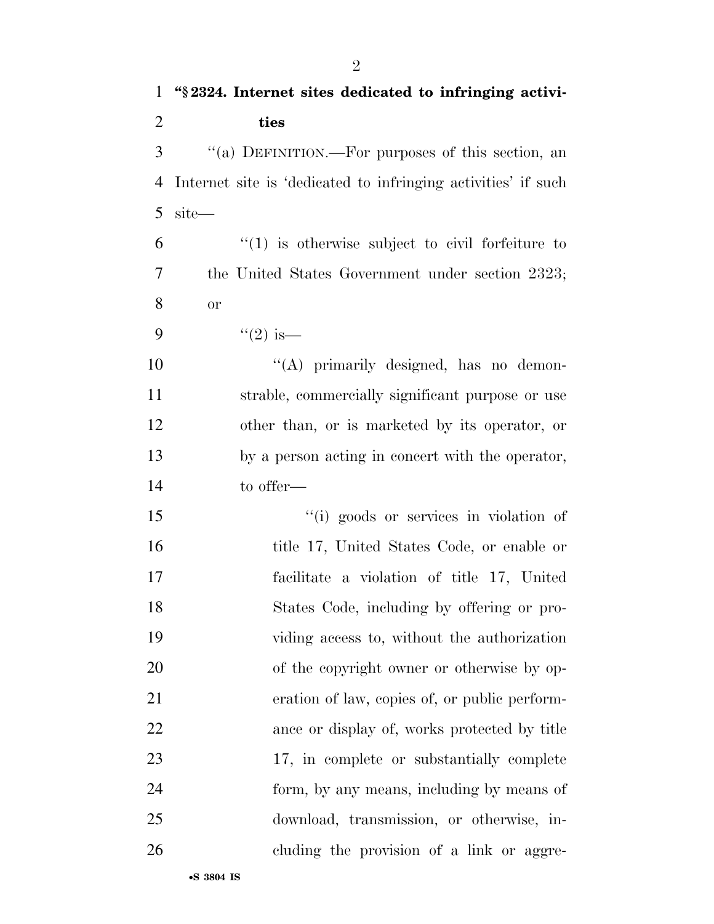| $\mathbf{1}$   | "\\$2324. Internet sites dedicated to infringing activi-      |
|----------------|---------------------------------------------------------------|
| $\overline{2}$ | ties                                                          |
| 3              | "(a) DEFINITION.—For purposes of this section, an             |
| $\overline{4}$ | Internet site is 'dedicated to infringing activities' if such |
| 5              | site—                                                         |
| 6              | $\lq(1)$ is otherwise subject to civil forfeiture to          |
| 7              | the United States Government under section 2323;              |
| 8              | <b>or</b>                                                     |
| 9              | $(2)$ is —                                                    |
| 10             | "(A) primarily designed, has no demon-                        |
| 11             | strable, commercially significant purpose or use              |
| 12             | other than, or is marketed by its operator, or                |
| 13             | by a person acting in concert with the operator,              |
| 14             | to offer—                                                     |
| 15             | "(i) goods or services in violation of                        |
| 16             | title 17, United States Code, or enable or                    |
| 17             | facilitate a violation of title 17, United                    |
| 18             | States Code, including by offering or pro-                    |
| 19             | viding access to, without the authorization                   |
| 20             | of the copyright owner or otherwise by op-                    |
| 21             | eration of law, copies of, or public perform-                 |
| 22             | ance or display of, works protected by title                  |
| 23             | 17, in complete or substantially complete                     |
| 24             | form, by any means, including by means of                     |
| 25             | download, transmission, or otherwise, in-                     |
| 26             | cluding the provision of a link or aggre-                     |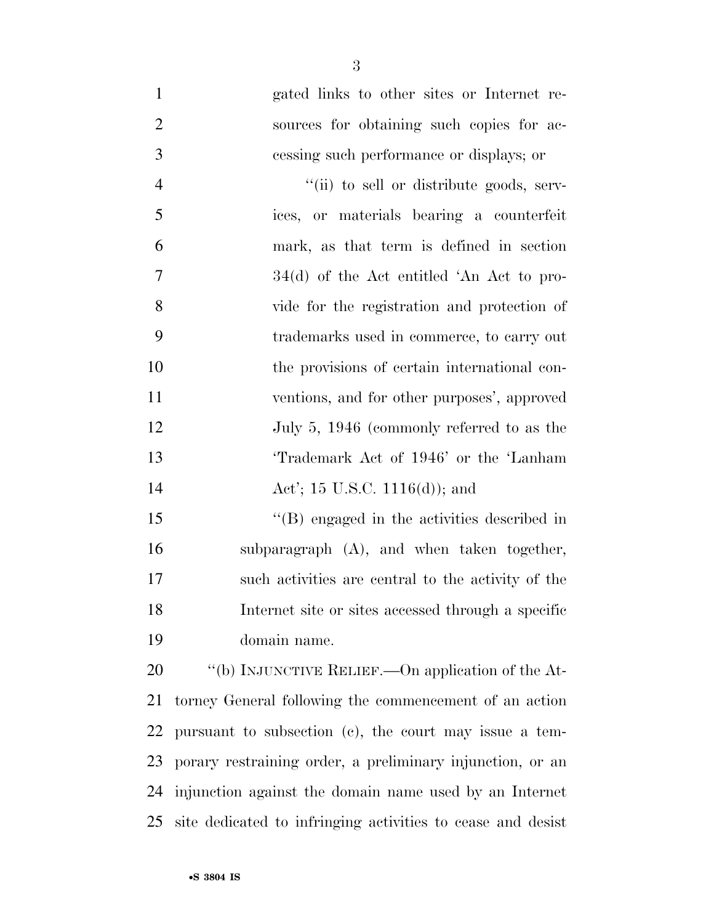gated links to other sites or Internet re- sources for obtaining such copies for ac- cessing such performance or displays; or  $''(ii)$  to sell or distribute goods, serv- ices, or materials bearing a counterfeit mark, as that term is defined in section 34(d) of the Act entitled 'An Act to pro- vide for the registration and protection of trademarks used in commerce, to carry out the provisions of certain international con- ventions, and for other purposes', approved 12 July 5, 1946 (commonly referred to as the 'Trademark Act of 1946' or the 'Lanham **Act'**; 15 U.S.C. 1116(d)); and

15 "(B) engaged in the activities described in subparagraph (A), and when taken together, such activities are central to the activity of the Internet site or sites accessed through a specific domain name.

20 "(b) INJUNCTIVE RELIEF.—On application of the At- torney General following the commencement of an action pursuant to subsection (c), the court may issue a tem- porary restraining order, a preliminary injunction, or an injunction against the domain name used by an Internet site dedicated to infringing activities to cease and desist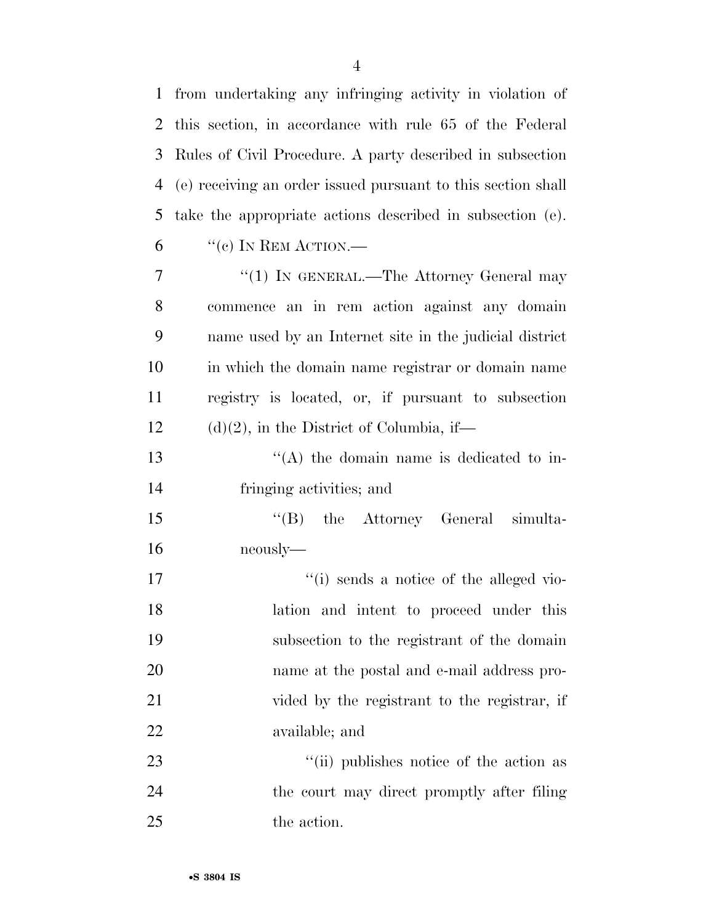from undertaking any infringing activity in violation of

|    | 2 this section, in accordance with rule 65 of the Federal    |
|----|--------------------------------------------------------------|
| 3  | Rules of Civil Procedure. A party described in subsection    |
| 4  | (e) receiving an order issued pursuant to this section shall |
| 5  | take the appropriate actions described in subsection (e).    |
| 6  | $``$ (c) IN REM ACTION.—                                     |
| 7  | "(1) IN GENERAL.—The Attorney General may                    |
| 8  | commence an in rem action against any domain                 |
| 9  | name used by an Internet site in the judicial district       |
| 10 | in which the domain name registrar or domain name            |
| 11 | registry is located, or, if pursuant to subsection           |
| 12 | $(d)(2)$ , in the District of Columbia, if—                  |
| 13 | $\lq\lq$ the domain name is dedicated to in-                 |
| 14 | fringing activities; and                                     |
| 15 | "(B) the Attorney General simulta-                           |
| 16 | neously-                                                     |
| 17 | "(i) sends a notice of the alleged vio-                      |
| 18 | lation and intent to proceed under this                      |
| 19 | subsection to the registrant of the domain                   |
| 20 | name at the postal and e-mail address pro-                   |
| 21 | vided by the registrant to the registrar, if                 |
| 22 | available; and                                               |
| 23 | "(ii) publishes notice of the action as                      |
| 24 | the court may direct promptly after filing                   |
| 25 | the action.                                                  |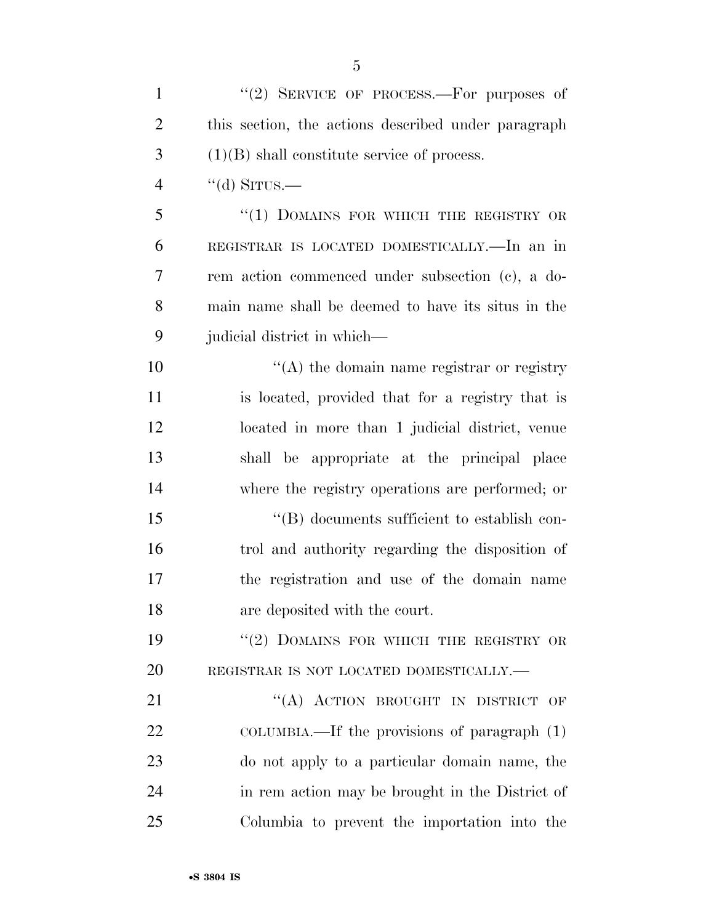| $\mathbf{1}$   | "(2) SERVICE OF PROCESS.—For purposes of            |
|----------------|-----------------------------------------------------|
| $\overline{2}$ | this section, the actions described under paragraph |
| 3              | $(1)(B)$ shall constitute service of process.       |
| 4              | $\lq\lq$ SITUS.—                                    |
| 5              | "(1) DOMAINS FOR WHICH THE REGISTRY OR              |
| 6              | REGISTRAR IS LOCATED DOMESTICALLY.—In an in         |
| 7              | rem action commenced under subsection (c), a do-    |
| 8              | main name shall be deemed to have its situs in the  |
| 9              | judicial district in which—                         |
| 10             | $\lq\lq$ the domain name registrar or registry      |
| 11             | is located, provided that for a registry that is    |
| 12             | located in more than 1 judicial district, venue     |
| 13             | shall be appropriate at the principal place         |
| 14             | where the registry operations are performed; or     |
| 15             | $\lq\lq (B)$ documents sufficient to establish con- |
| 16             | trol and authority regarding the disposition of     |
| 17             | the registration and use of the domain name         |
| 18             | are deposited with the court.                       |
| 19             | $``(2)$ DOMAINS FOR WHICH THE REGISTRY OR           |
| 20             | REGISTRAR IS NOT LOCATED DOMESTICALLY.-             |
| 21             | "(A) ACTION BROUGHT IN DISTRICT OF                  |
| 22             | COLUMBIA.—If the provisions of paragraph $(1)$      |
| 23             | do not apply to a particular domain name, the       |
| 24             | in rem action may be brought in the District of     |
| 25             | Columbia to prevent the importation into the        |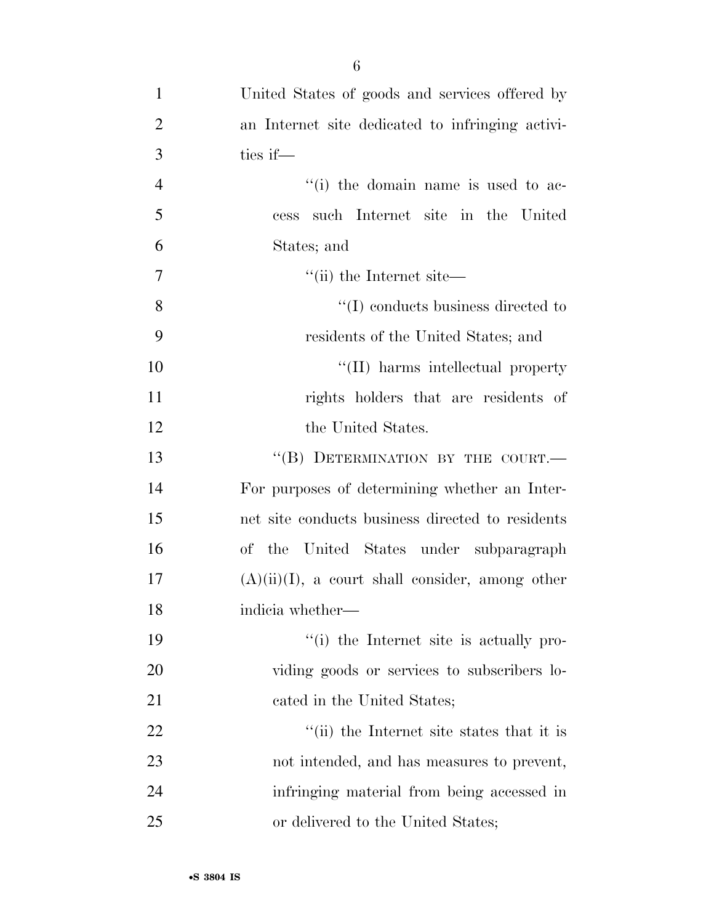| $\mathbf{1}$   | United States of goods and services offered by     |
|----------------|----------------------------------------------------|
| $\overline{2}$ | an Internet site dedicated to infringing activi-   |
| 3              | ties if—                                           |
| $\overline{4}$ | "(i) the domain name is used to ac-                |
| 5              | such Internet site in the United<br>cess           |
| 6              | States; and                                        |
| 7              | $\lq$ <sup>"</sup> (ii) the Internet site—         |
| 8              | $\lq\lq$ conducts business directed to             |
| 9              | residents of the United States; and                |
| 10             | "(II) harms intellectual property                  |
| 11             | rights holders that are residents of               |
| 12             | the United States.                                 |
| 13             | "(B) DETERMINATION BY THE COURT.-                  |
| 14             | For purposes of determining whether an Inter-      |
| 15             | net site conducts business directed to residents   |
| 16             | of the United States under subparagraph            |
| 17             | $(A)(ii)(I)$ , a court shall consider, among other |
| 18             | indicia whether-                                   |
| 19             | "(i) the Internet site is actually pro-            |
| 20             | viding goods or services to subscribers lo-        |
| 21             | cated in the United States;                        |
| 22             | "(ii) the Internet site states that it is          |
| 23             | not intended, and has measures to prevent,         |
| 24             | infringing material from being accessed in         |
| 25             | or delivered to the United States;                 |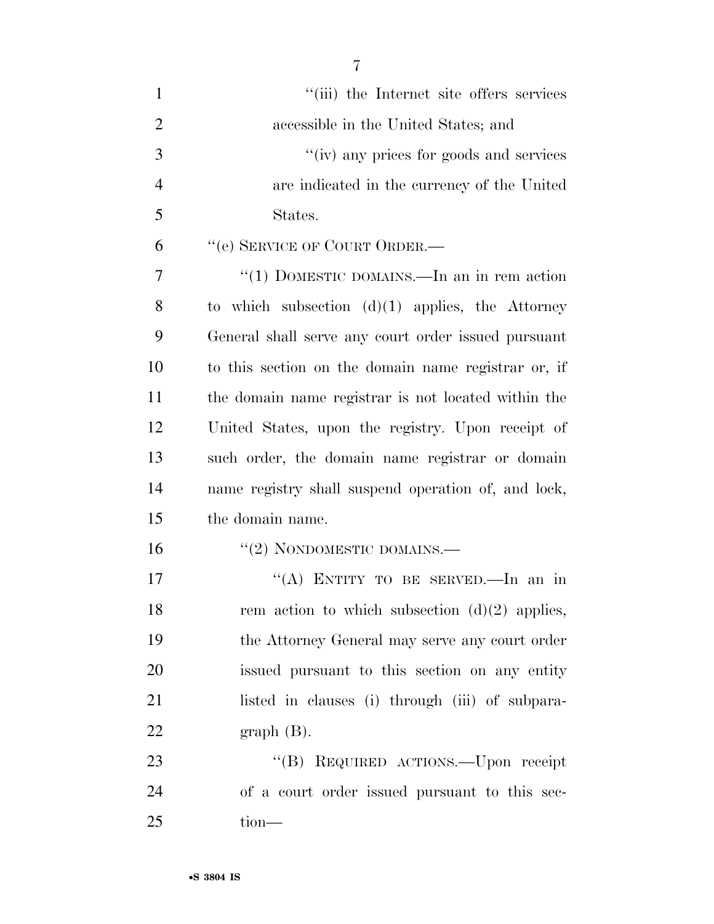| $\mathbf{1}$   | "(iii) the Internet site offers services            |
|----------------|-----------------------------------------------------|
| $\overline{2}$ | accessible in the United States; and                |
| 3              | "(iv) any prices for goods and services             |
| $\overline{4}$ | are indicated in the currency of the United         |
| 5              | States.                                             |
| 6              | "(e) SERVICE OF COURT ORDER.—                       |
| $\overline{7}$ | "(1) DOMESTIC DOMAINS.—In an in rem action          |
| 8              | to which subsection $(d)(1)$ applies, the Attorney  |
| 9              | General shall serve any court order issued pursuant |
| 10             | to this section on the domain name registrar or, if |
| 11             | the domain name registrar is not located within the |
| 12             | United States, upon the registry. Upon receipt of   |
| 13             | such order, the domain name registrar or domain     |
| 14             | name registry shall suspend operation of, and lock, |
| 15             | the domain name.                                    |
| 16             | $``(2)$ NONDOMESTIC DOMAINS.—                       |
| 17             | "(A) ENTITY TO BE SERVED.—In an in                  |
| 18             | rem action to which subsection $(d)(2)$ applies,    |
| 19             | the Attorney General may serve any court order      |
| 20             | issued pursuant to this section on any entity       |
| 21             | listed in clauses (i) through (iii) of subpara-     |
| 22             | $graph(B)$ .                                        |
| 23             | "(B) REQUIRED ACTIONS.—Upon receipt                 |
| 24             | of a court order issued pursuant to this sec-       |
| 25             | tion-                                               |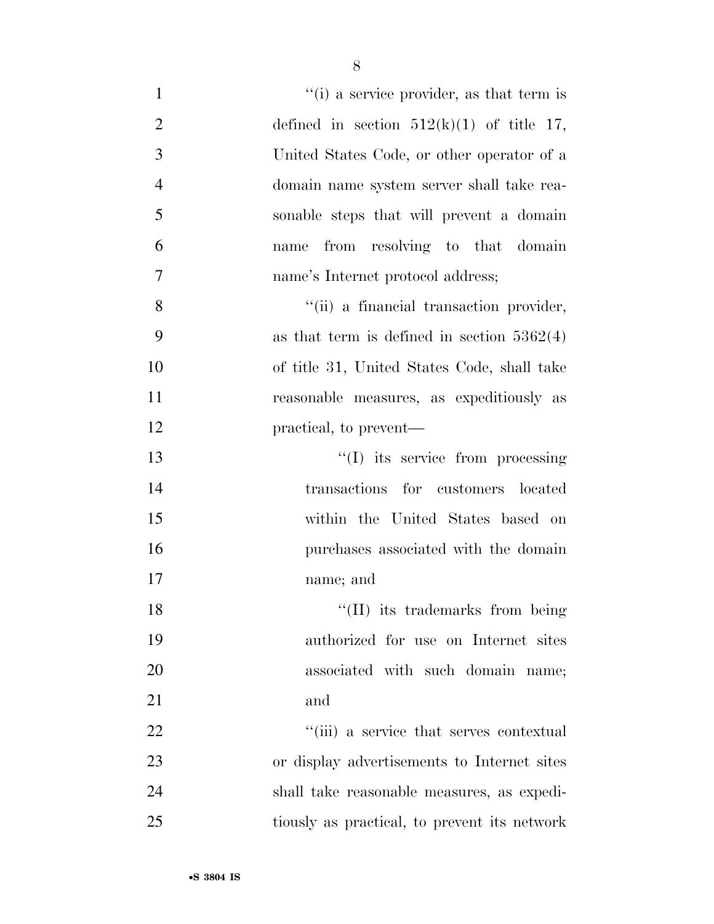| $f'(i)$ a service provider, as that term is<br>$\mathbf{1}$   |  |
|---------------------------------------------------------------|--|
| $\overline{2}$<br>defined in section $512(k)(1)$ of title 17, |  |
| 3<br>United States Code, or other operator of a               |  |
| $\overline{4}$<br>domain name system server shall take rea-   |  |
| 5<br>sonable steps that will prevent a domain                 |  |
| 6<br>from resolving to that domain<br>name                    |  |
| $\overline{7}$<br>name's Internet protocol address;           |  |
| 8<br>"(ii) a financial transaction provider,                  |  |
| 9<br>as that term is defined in section $5362(4)$             |  |
| 10<br>of title 31, United States Code, shall take             |  |
| 11<br>reasonable measures, as expeditiously as                |  |
| 12<br>practical, to prevent—                                  |  |
| 13<br>$\lq\lq$ its service from processing                    |  |
| 14<br>transactions for customers located                      |  |
| 15<br>within the United States based on                       |  |
| 16<br>purchases associated with the domain                    |  |
| 17<br>name; and                                               |  |
| "(II) its trademarks from being<br>18                         |  |
| 19<br>authorized for use on Internet sites                    |  |
| 20<br>associated with such domain name;                       |  |
| 21<br>and                                                     |  |
| 22<br>"(iii) a service that serves contextual                 |  |
| 23<br>or display advertisements to Internet sites             |  |
| 24<br>shall take reasonable measures, as expedi-              |  |
| 25<br>tiously as practical, to prevent its network            |  |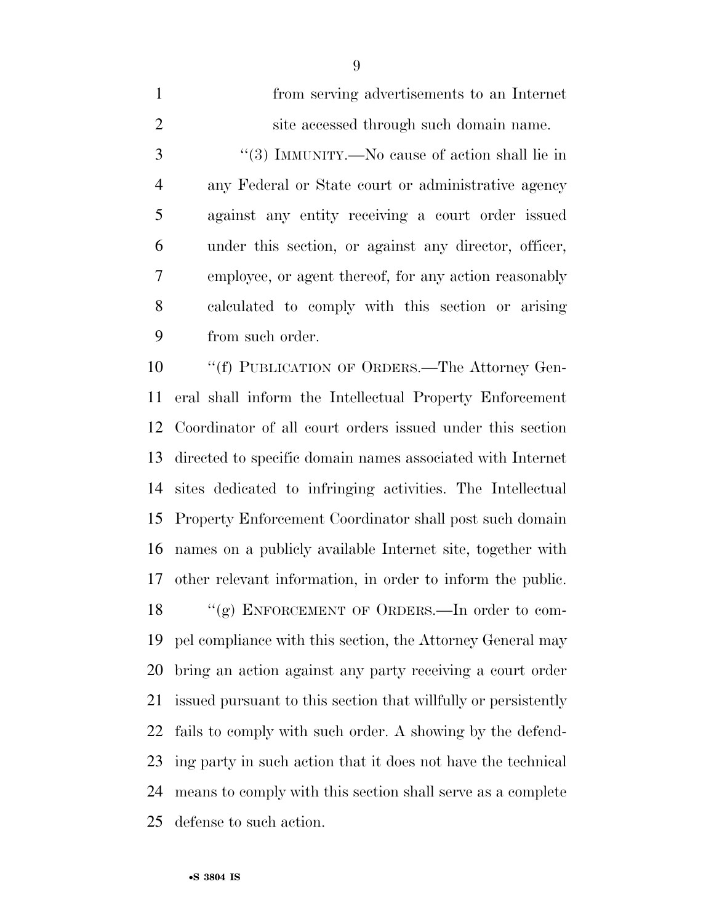| $\mathbf{1}$   | from serving advertisements to an Internet            |
|----------------|-------------------------------------------------------|
| 2              | site accessed through such domain name.               |
| 3              | "(3) IMMUNITY.—No cause of action shall lie in        |
| $\overline{4}$ | any Federal or State court or administrative agency   |
| 5              | against any entity receiving a court order issued     |
| 6              | under this section, or against any director, officer, |
| 7              | employee, or agent thereof, for any action reasonably |
| 8              | calculated to comply with this section or arising     |
| 9              | from such order.                                      |
|                |                                                       |

10 "(f) PUBLICATION OF ORDERS.—The Attorney Gen- eral shall inform the Intellectual Property Enforcement Coordinator of all court orders issued under this section directed to specific domain names associated with Internet sites dedicated to infringing activities. The Intellectual Property Enforcement Coordinator shall post such domain names on a publicly available Internet site, together with other relevant information, in order to inform the public. 18 "(g) ENFORCEMENT OF ORDERS.—In order to com- pel compliance with this section, the Attorney General may bring an action against any party receiving a court order issued pursuant to this section that willfully or persistently fails to comply with such order. A showing by the defend- ing party in such action that it does not have the technical means to comply with this section shall serve as a complete defense to such action.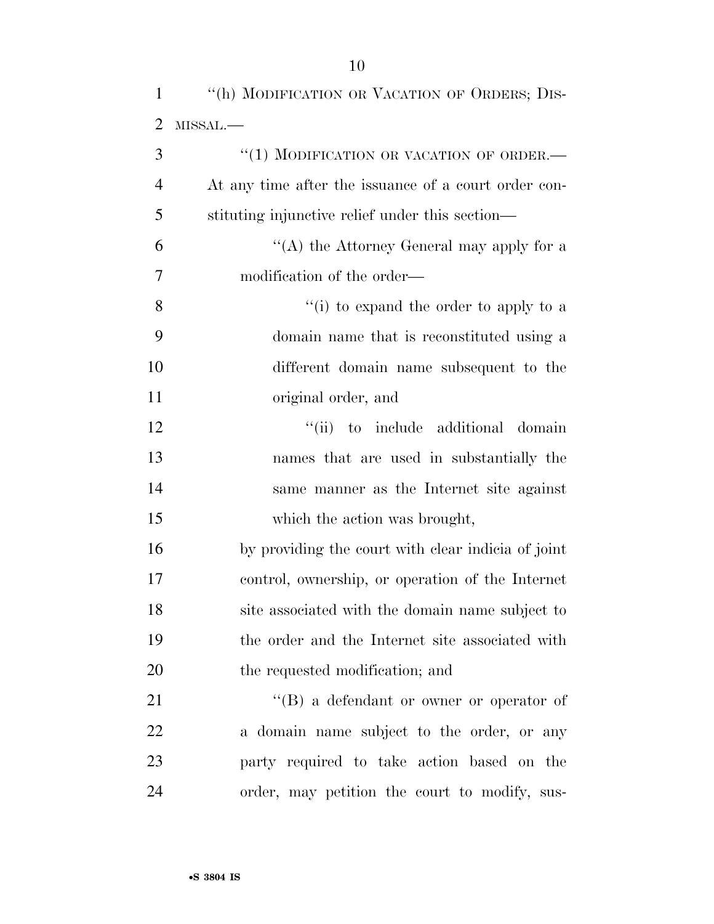|                | "(h) MODIFICATION OR VACATION OF ORDERS; DIS-        |
|----------------|------------------------------------------------------|
| 2              | MISSAL.-                                             |
| 3              | "(1) MODIFICATION OR VACATION OF ORDER.-             |
| $\overline{4}$ | At any time after the issuance of a court order con- |
| 5              | stituting injunctive relief under this section—      |
| 6              | "(A) the Attorney General may apply for a            |
| 7              | modification of the order—                           |
| 8              | "(i) to expand the order to apply to a               |
| 9              | domain name that is reconstituted using a            |
| 10             | different domain name subsequent to the              |
| 11             | original order, and                                  |

12 ''(ii) to include additional domain names that are used in substantially the same manner as the Internet site against which the action was brought,

 by providing the court with clear indicia of joint control, ownership, or operation of the Internet site associated with the domain name subject to the order and the Internet site associated with the requested modification; and

21 ''(B) a defendant or owner or operator of a domain name subject to the order, or any party required to take action based on the order, may petition the court to modify, sus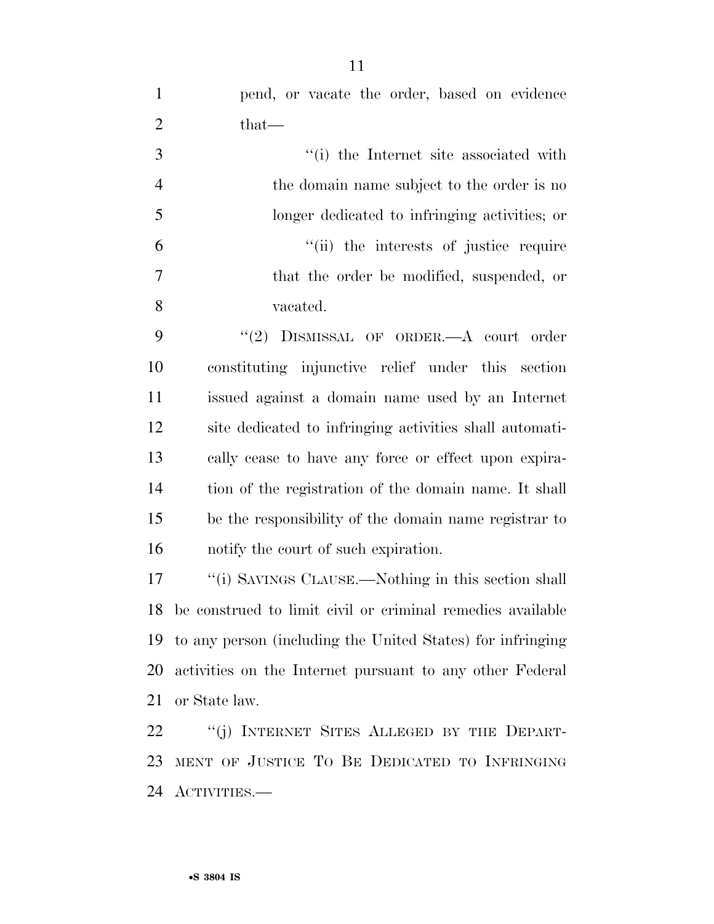pend, or vacate the order, based on evidence 2 that—

|    | "(i) the Internet site associated with        |
|----|-----------------------------------------------|
|    | the domain name subject to the order is no    |
| -5 | longer dedicated to infringing activities; or |
| 6  | "(ii) the interests of justice require        |
| 7  | that the order be modified, suspended, or     |
| -8 | vacated.                                      |

9 "(2) DISMISSAL OF ORDER. A court order constituting injunctive relief under this section issued against a domain name used by an Internet site dedicated to infringing activities shall automati- cally cease to have any force or effect upon expira- tion of the registration of the domain name. It shall be the responsibility of the domain name registrar to notify the court of such expiration.

17 ''(i) SAVINGS CLAUSE.—Nothing in this section shall be construed to limit civil or criminal remedies available to any person (including the United States) for infringing activities on the Internet pursuant to any other Federal or State law.

22 "(j) INTERNET SITES ALLEGED BY THE DEPART- MENT OF JUSTICE TO BE DEDICATED TO INFRINGING ACTIVITIES.—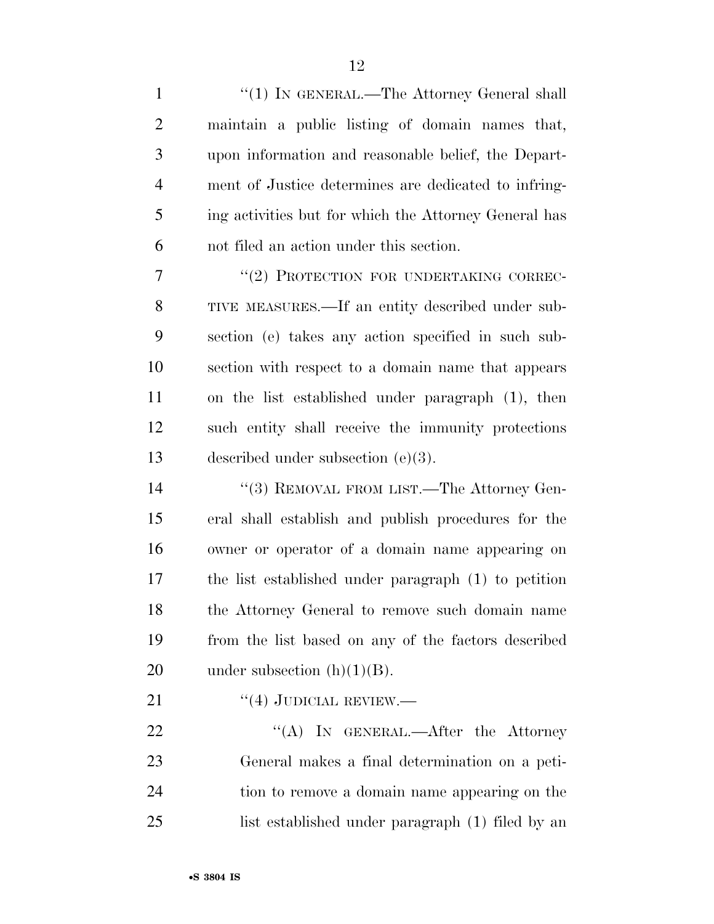| $\mathbf{1}$   | "(1) IN GENERAL.—The Attorney General shall           |
|----------------|-------------------------------------------------------|
| $\overline{2}$ | maintain a public listing of domain names that,       |
| 3              | upon information and reasonable belief, the Depart-   |
| $\overline{4}$ | ment of Justice determines are dedicated to infring-  |
| 5              | ing activities but for which the Attorney General has |
| 6              | not filed an action under this section.               |
| $\tau$         | "(2) PROTECTION FOR UNDERTAKING CORREC-               |
| 8              | TIVE MEASURES.—If an entity described under sub-      |
| 9              | section (e) takes any action specified in such sub-   |
| 10             | section with respect to a domain name that appears    |
| 11             | on the list established under paragraph (1), then     |
| 12             | such entity shall receive the immunity protections    |
| 13             | described under subsection $(e)(3)$ .                 |
| 14             | "(3) REMOVAL FROM LIST.—The Attorney Gen-             |
| 15             | eral shall establish and publish procedures for the   |
| 16             | owner or operator of a domain name appearing on       |
| 17             | the list established under paragraph (1) to petition  |
| 18             | the Attorney General to remove such domain name       |
| 19             | from the list based on any of the factors described   |
| 20             | under subsection $(h)(1)(B)$ .                        |
| 21             | $``(4)$ JUDICIAL REVIEW.—                             |
| 22             | "(A) IN GENERAL.—After the Attorney                   |
| 23             | General makes a final determination on a peti-        |
|                |                                                       |

 tion to remove a domain name appearing on the list established under paragraph (1) filed by an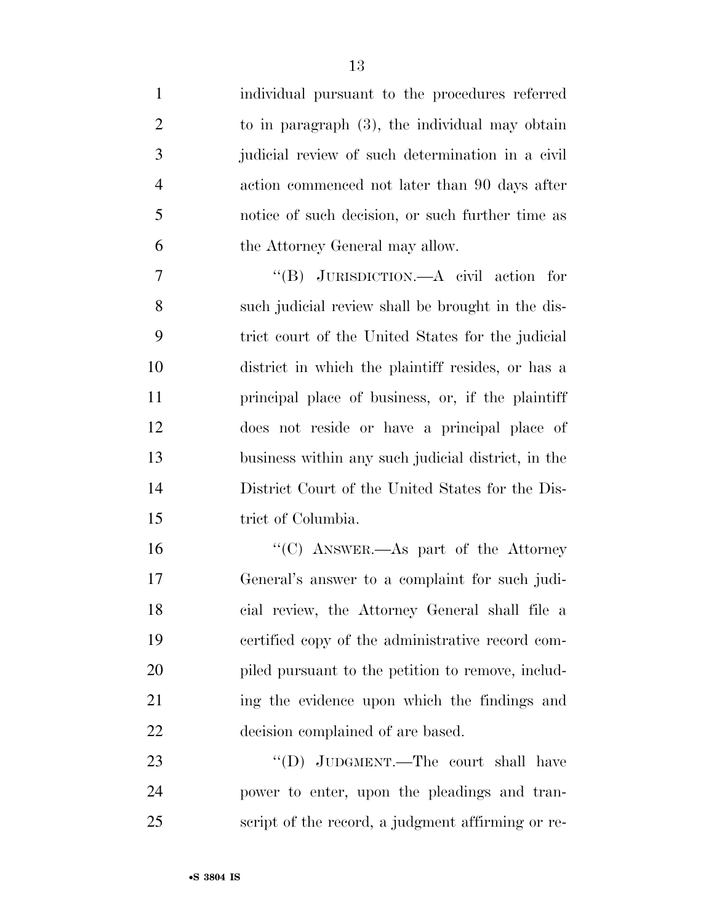| $\mathbf{1}$   | individual pursuant to the procedures referred     |
|----------------|----------------------------------------------------|
| $\overline{2}$ | to in paragraph $(3)$ , the individual may obtain  |
| 3              | judicial review of such determination in a civil   |
| $\overline{4}$ | action commenced not later than 90 days after      |
| 5              | notice of such decision, or such further time as   |
| 6              | the Attorney General may allow.                    |
| 7              | "(B) JURISDICTION.—A civil action for              |
| 8              | such judicial review shall be brought in the dis-  |
| 9              | trict court of the United States for the judicial  |
| 10             | district in which the plaintiff resides, or has a  |
| 11             | principal place of business, or, if the plaintiff  |
| 12             | does not reside or have a principal place of       |
| 13             | business within any such judicial district, in the |
| 14             | District Court of the United States for the Dis-   |
| 15             | trict of Columbia.                                 |
| 16             | "(C) ANSWER.—As part of the Attorney               |
| 17             | General's answer to a complaint for such judi-     |
| 18             | cial review, the Attorney General shall file a     |
| 19             | certified copy of the administrative record com-   |
| 20             | piled pursuant to the petition to remove, includ-  |
| 21             | ing the evidence upon which the findings and       |
| 22             | decision complained of are based.                  |
| 23             | "(D) JUDGMENT.—The court shall have                |
| 24             | power to enter, upon the pleadings and tran-       |
| 25             | script of the record, a judgment affirming or re-  |